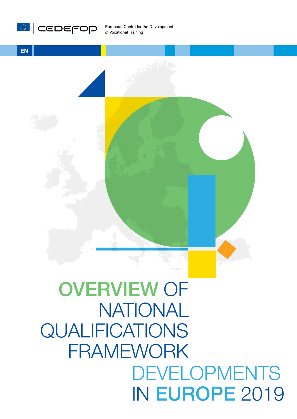



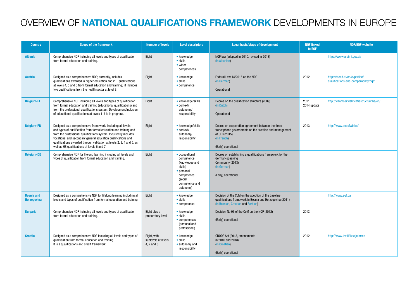# OVERVIEW OF NATIONAL QUALIFICATIONS FRAMEWORK DEVELOPMENTS IN EUROPE

| <b>Country</b>                          | <b>Scope of the framework</b>                                                                                                                                                                                                                                                                                                                                                                    | <b>Number of levels</b>                          | <b>Level descriptors</b>                                                                                                        | <b>Legal basis/stage of development</b>                                                                                                                            | <b>NQF linked</b><br>to EQF | <b>NQF/EQF website</b>                                                 |
|-----------------------------------------|--------------------------------------------------------------------------------------------------------------------------------------------------------------------------------------------------------------------------------------------------------------------------------------------------------------------------------------------------------------------------------------------------|--------------------------------------------------|---------------------------------------------------------------------------------------------------------------------------------|--------------------------------------------------------------------------------------------------------------------------------------------------------------------|-----------------------------|------------------------------------------------------------------------|
| <b>Albania</b>                          | Comprehensive NQF including all levels and types of qualification<br>from formal education and training.                                                                                                                                                                                                                                                                                         | Eight                                            | • knowledge<br>• skills<br>• wider<br>competences                                                                               | NQF law (adopted in 2010, revised in 2018)<br>(in Albanian)                                                                                                        |                             | https://www.arsimi.gov.al/                                             |
| <b>Austria</b>                          | Designed as a comprehensive NQF; currently, includes<br>qualifications awarded in higher education and VET qualifications<br>at levels 4, 5 and 6 from formal education and training; it includes<br>two qualifications from the health sector at level 8.                                                                                                                                       | Eight                                            | • knowledge<br>$\bullet$ skills<br>• competence                                                                                 | Federal Law 14/2016 on the NQF<br>(in German)<br>Operational                                                                                                       | 2012                        | https://oead.at/en/expertise/<br>qualifications-and-comparability/nqf/ |
| <b>Belgium-FL</b>                       | Comprehensive NQF including all levels and types of qualification<br>from formal education and training (educational qualifications) and<br>from the professional qualifications system. Development/inclusion<br>of educational qualifications at levels 1-4 is in progress.                                                                                                                    | Eight                                            | • knowledge/skills<br>• context/<br>autonomy/<br>responsibility                                                                 | Decree on the qualification structure (2009)<br>(in Dutch)<br>Operational                                                                                          | 2011,<br>2014 update        | http://vlaamsekwalificatiestructuur.be/en/                             |
| <b>Belgium-FR</b>                       | Designed as a comprehensive framework; including all levels<br>and types of qualification from formal education and training and<br>from the professional qualifications system. It currently includes<br>vocational and secondary general education qualifications and<br>qualifications awarded through validation at levels 2, 3, 4 and 5, as<br>well as HE qualifications at levels 6 and 7. | Eight                                            | • knowledge/skills<br>$\bullet$ context/<br>autonomy/<br>responsibility                                                         | Decree on cooperation agreement between the three<br>francophone governments on the creation and management<br>of CFC (2015)<br>(in French)<br>(Early) operational | 2013                        | http://www.cfc.cfwb.be/                                                |
| <b>Belgium-DE</b>                       | Comprehensive NQF for lifelong learning including all levels and<br>types of qualification from formal education and training.                                                                                                                                                                                                                                                                   | Eight                                            | • occupational<br>competence<br>(knowledge and<br>skills)<br>• personal<br>competence<br>(social<br>competence and<br>autonomy) | Decree on establishing a qualifications framework for the<br>German-speaking<br>Community (2013)<br>(in German)<br>(Early) operational                             |                             |                                                                        |
| <b>Bosnia and</b><br><b>Herzegovina</b> | Designed as a comprehensive NQF for lifelong learning including all<br>levels and types of qualification from formal education and training.                                                                                                                                                                                                                                                     | Eight                                            | • knowledge<br>• skills<br>• competence                                                                                         | Decision of the CoM on the adoption of the baseline<br>qualifications framework in Bosnia and Herzegovina (2011)<br>(in Bosnian, Croatian and Serbian)             |                             | http://www.eqf.ba                                                      |
| <b>Bulgaria</b>                         | Comprehensive NQF including all levels and types of qualification<br>from formal education and training.                                                                                                                                                                                                                                                                                         | Eight plus a<br>preparatory level                | • knowledge<br>$\bullet$ skills<br>• competences<br>(personal and<br>professional)                                              | Decision No 96 of the CoM on the NQF (2012)<br>(Early) operational                                                                                                 | 2013                        |                                                                        |
| <b>Croatia</b>                          | Designed as a comprehensive NQF including all levels and types of<br>qualification from formal education and training.<br>It is a qualifications and credit framework.                                                                                                                                                                                                                           | Eight, with<br>sublevels at levels<br>4, 7 and 8 | • knowledge<br>$\bullet$ skills<br>• autonomy and<br>responsibility                                                             | CROQF Act (2013, amendments<br>in 2016 and 2018)<br>(in Croatian)<br>(Early) operational                                                                           | 2012                        | http://www.kvalifikacije.hr/en                                         |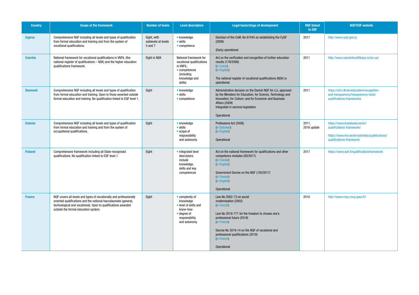| <b>Country</b> | <b>Scope of the framework</b>                                                                                                                                                                                                                   | Number of levels                              | <b>Level descriptors</b>                                                                                                            | <b>Legal basis/stage of development</b>                                                                                                                                                                                                                                               | <b>NQF linked</b><br>to EQF | <b>NQF/EQF website</b>                                                                                                                   |
|----------------|-------------------------------------------------------------------------------------------------------------------------------------------------------------------------------------------------------------------------------------------------|-----------------------------------------------|-------------------------------------------------------------------------------------------------------------------------------------|---------------------------------------------------------------------------------------------------------------------------------------------------------------------------------------------------------------------------------------------------------------------------------------|-----------------------------|------------------------------------------------------------------------------------------------------------------------------------------|
| <b>Cyprus</b>  | Comprehensive NQF including all levels and types of qualification<br>from formal education and training and from the system of<br>vocational qualifications.                                                                                    | Eight, with<br>sublevels at levels<br>5 and 7 | • knowledge<br>$\bullet$ skills<br>• competence                                                                                     | Decision of the CoM, No 67445 on establishing the CyQF<br>(2008)<br>(Early) operational                                                                                                                                                                                               | 2017                        | http://www.cyqf.gov.cy                                                                                                                   |
| <b>Czechia</b> | National framework for vocational qualifications in VNFIL (the<br>national register of qualifications - NSK) and the higher education<br>qualifications framework.                                                                              | Eight in NSK                                  | National framework for<br>vocational qualifications<br>in VNFIL:<br>$\bullet$ competences<br>(including<br>knowledge and<br>skills) | Act on the verification and recognition of further education<br>results (179/2006)<br>(in Czech)<br>(in English)<br>The national register of vocational qualifications (NSK) is<br>operational                                                                                        | 2011                        | http://www.narodnikvalifikace.cz/en-us/                                                                                                  |
| <b>Denmark</b> | Comprehensive NQF including all levels and types of qualification<br>from formal education and training. Open to those awarded outside<br>formal education and training. No qualification linked to EQF level 1.                                | Eight                                         | • knowledge<br>$\bullet$ skills<br>• competence                                                                                     | Administrative decision on the Danish NQF for LLL approved<br>by the Ministers for Education; for Science, Technology and<br>Innovation; for Culture; and for Economic and Business<br><b>Affairs (2009)</b><br>Integrated in sectoral legislation<br>Operational                     | 2011                        | https://ufm.dk/en/education/recognition-<br>and-transparency/transparency-tools/<br>qualifications-frameworks                            |
| <b>Estonia</b> | Comprehensive NQF including all levels and types of qualification<br>from formal education and training and from the system of<br>occupational qualifications.                                                                                  | Eight                                         | • knowledge<br>$\bullet$ skills<br>• scope of<br>responsibility<br>and autonomy                                                     | Professions Act (2008)<br>(in Estonian)<br>(in English)<br>Operational                                                                                                                                                                                                                | 2011,<br>2016 update        | https://www.kutsekoda.ee/en/<br>qualifications-framework/<br>https://www.hm.ee/en/activities/qualifications/<br>qualifications-framework |
| <b>Finland</b> | Comprehensive framework including all State-recognised<br>qualifications. No qualification linked to EQF level 1.                                                                                                                               | Eight                                         | • integrated level<br>descriptors<br>include<br>knowledge,<br>skills and key<br>competences                                         | Act on the national framework for qualifications and other<br>competence modules (93/2017)<br>(in Finnish)<br>(in English)<br>Government Decree on the NQF (120/2017)<br>(in Finnish)<br>(in English)<br>Operational                                                                  | 2017                        | https://www.oph.fi/qualificationsframework                                                                                               |
| <b>France</b>  | NQF covers all levels and types of vocationally and professionally<br>oriented qualifications and the national baccalaureate (general,<br>technological and vocational). Open to qualifications awarded<br>outside the formal education system. | Eight                                         | • complexity of<br>knowledge<br>• level of skills and<br>know-how<br>$\bullet$ degree of<br>responsibility<br>and autonomy          | Law No 2002-73 on social<br>modernisation (2002)<br>(in French)<br>Law No 2018-771 for the freedom to choose one's<br>professional future (2018)<br>(in French)<br>Decree No 2019-14 on the NQF of vocational and<br>professional qualifications (2019)<br>(in French)<br>Operational | 2010                        | http://www.rncp.cncp.gouv.fr/                                                                                                            |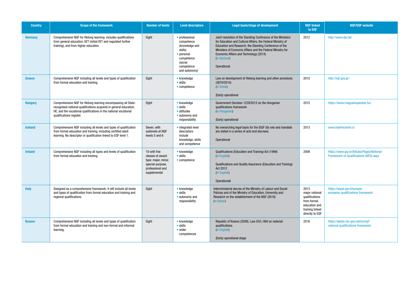| <b>Country</b> | <b>Scope of the framework</b>                                                                                                                                                                                                        | <b>Number of levels</b>                                                                                         | <b>Level descriptors</b>                                                                                                        | <b>Legal basis/stage of development</b>                                                                                                                                                                                                                                                                                            | <b>NQF linked</b><br>to EQF                                                                                    | <b>NQF/EQF website</b>                                                                |
|----------------|--------------------------------------------------------------------------------------------------------------------------------------------------------------------------------------------------------------------------------------|-----------------------------------------------------------------------------------------------------------------|---------------------------------------------------------------------------------------------------------------------------------|------------------------------------------------------------------------------------------------------------------------------------------------------------------------------------------------------------------------------------------------------------------------------------------------------------------------------------|----------------------------------------------------------------------------------------------------------------|---------------------------------------------------------------------------------------|
| <b>Germany</b> | Comprehensive NQF for lifelong learning; includes qualifications<br>from general education, VET (initial VET and regulated further<br>training), and from higher education.                                                          | Eight                                                                                                           | • professional<br>competence<br>(knowledge and<br>skills)<br>• personal<br>competence<br>(social<br>competence<br>and autonomy) | Joint resolution of the Standing Conference of the Ministers<br>for Education and Cultural Affairs, the Federal Ministry of<br>Education and Research, the Standing Conference of the<br>Ministers of Economic Affairs and the Federal Ministry for<br>Economic Affairs and Technology (2013)<br>(in German)<br><b>Operational</b> | 2012                                                                                                           | http://www.dqr.de/                                                                    |
| <b>Greece</b>  | Comprehensive NQF including all levels and types of qualification<br>from formal education and training.                                                                                                                             | Eight                                                                                                           | • knowledge<br>$\bullet$ skills<br>• competence                                                                                 | Law on development of lifelong learning and other provisions<br>(3879/2010)<br>(in Greek)<br>(Early) operational                                                                                                                                                                                                                   | 2015                                                                                                           | http://nqf.gov.gr/                                                                    |
| <b>Hungary</b> | Comprehensive NQF for lifelong learning encompassing all State-<br>recognised national qualifications acquired in general education,<br>HE, and the vocational qualifications in the national vocational<br>qualifications register. | Eight                                                                                                           | • knowledge<br>$\bullet$ skills<br>• attitudes<br>• autonomy and<br>responsibility                                              | Government Decision 1229/2012 on the Hungarian<br>qualifications framework<br>(in Hungarian)<br>(Early) operational                                                                                                                                                                                                                | 2015                                                                                                           | https://www.magyarkepesites.hu/                                                       |
| <b>Iceland</b> | Comprehensive NQF including all levels and types of qualification<br>from formal education and training, including certified adult<br>learning. No descriptor or qualification linked to EQF level 1.                                | Seven, with<br>sublevels at NQF<br>levels 5 and 6                                                               | • integrated level<br>descriptors<br>include<br>knowledge, skills<br>and competence                                             | No overarching legal basis for the ISQF (its role and mandate<br>are stated in a series of acts and decrees).<br><b>Operational</b>                                                                                                                                                                                                | 2013                                                                                                           | www.haefnirammi.is                                                                    |
| <b>Ireland</b> | Comprehensive NQF including all types and levels of qualification<br>from formal education and training.                                                                                                                             | 10 with five<br>classes of award<br>type: major, minor,<br>special-purpose,<br>professional and<br>supplemental | • knowledge<br>$\bullet$ skills<br>$\bullet$ competence                                                                         | Qualifications (Education and Training) Act (1999)<br>(in English)<br>Qualifications and Quality Assurance (Education and Training)<br>Act 2012<br>(in English)<br>Operationall                                                                                                                                                    | 2009                                                                                                           | https://www.qqi.ie/Articles/Pages/National-<br>Framework-of-Qualifications-(NFQ).aspx |
| <b>Italy</b>   | Designed as a comprehensive framework; it will include all levels<br>and types of qualification from formal education and training and<br>regional qualifications.                                                                   | Eight                                                                                                           | $\bullet$ knowledge<br>$\bullet$ skills<br>• autonomy and<br>responsibility                                                     | Interministerial decree of the Ministry of Labour and Social<br>Policies and of the Ministry of Education, University and<br>Research on the establishment of the NQF (2018)<br>(in Italian)                                                                                                                                       | 2013<br>major national<br>qualifications<br>from formal<br>education and<br>training linked<br>directly to EQF | https://anpal.gov.it/europa/<br>european-qualifications-framework                     |
| <b>Kosovo</b>  | Comprehensive NQF including all levels and types of qualification<br>from formal education and training and non-formal and informal<br>learning.                                                                                     | Eight                                                                                                           | $\bullet$ knowledge<br>$\bullet$ skills<br>$\bullet$ wider<br>competences                                                       | Republic of Kosovo (2008). Law 03/L-060 on national<br>qualifications<br>(in English)<br>(Early) operational stage                                                                                                                                                                                                                 | 2016                                                                                                           | https://akkks.rks-gov.net/en/nqf/<br>national-qualifications-framework                |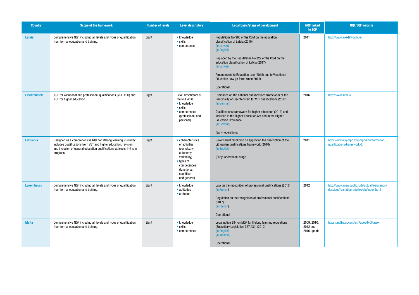| <b>Country</b>    | <b>Scope of the framework</b>                                                                                                                                                                                             | <b>Number of levels</b> | <b>Level descriptors</b>                                                                                                                                   | Legal basis/stage of development                                                                                                                                                                                                                                                                                                                     | <b>NQF linked</b><br>to EQF            | <b>NQF/EQF website</b>                                                                      |
|-------------------|---------------------------------------------------------------------------------------------------------------------------------------------------------------------------------------------------------------------------|-------------------------|------------------------------------------------------------------------------------------------------------------------------------------------------------|------------------------------------------------------------------------------------------------------------------------------------------------------------------------------------------------------------------------------------------------------------------------------------------------------------------------------------------------------|----------------------------------------|---------------------------------------------------------------------------------------------|
| Latvia            | Comprehensive NQF including all levels and types of qualification<br>from formal education and training.                                                                                                                  | Eight                   | $\bullet$ knowledge<br>$\bullet$ skills<br>• competence                                                                                                    | Regulations No 990 of the CoM on the education<br>classification of Latvia (2010)<br>(in Latvian)<br>(in English)<br>Replaced by the Regulations No 322 of the CoM on the<br>education classification of Latvia (2017)<br>(in Latvian)<br>Amendments to Education Law (2015) and to Vocational<br>Education Law (in force since 2015)<br>Operational | 2011                                   | http://www.nki-latvija.lv/en                                                                |
| Liechtenstein     | NQF for vocational and professional qualifications (NQF-VPQ) and<br>NQF for higher education.                                                                                                                             | Eight                   | Level descriptors of<br>the NQF-VPQ:<br>• knowledge<br>$\bullet$ skills<br>• competences<br>(professional and<br>personal)                                 | Ordinance on the national qualifications framework of the<br>Principality of Liechtenstein for VET qualifications (2017)<br>(in German)<br>Qualifications framework for higher education (2013) and<br>included in the Higher Education Act and in the Higher<br><b>Education Ordinance</b><br>(in German)<br>(Early) operational                    | 2016                                   | http://www.nqfl.li/                                                                         |
| Lithuania         | Designed as a comprehensive NQF for lifelong learning; currently<br>includes qualifications from VET and higher education; revision<br>and inclusion of general education qualifications at levels 1-4 is in<br>progress. | Eight                   | • ccharacteristics<br>of activities<br>(complexity,<br>autonomy,<br>variability)<br>• types of<br>competences<br>(functional,<br>cognitive<br>and general) | Government resolution on approving the description of the<br>Lithuanian qualifications framework (2010)<br>(in English)<br>(Early) operational stage                                                                                                                                                                                                 | 2011                                   | https://www.kpmpc.lt/kpmpc/en/information/<br>qualifications-framework-2                    |
| <b>Luxembourg</b> | Comprehensive NQF including all levels and types of qualification<br>from formal education and training.                                                                                                                  | Eight                   | • knowledge<br>$\bullet$ aptitudes<br>• attitudes                                                                                                          | Law on the recognition of professional qualifications (2016)<br>(in French)<br>Regulation on the recognition of professional qualifications<br>(2017)<br>(in French)<br>Operational                                                                                                                                                                  | 2012                                   | http://www.men.public.lu/fr/actualites/grands-<br>dossiers/formation-adultes/clq/index.html |
| <b>Malta</b>      | Comprehensive NQF including all levels and types of qualification<br>from formal education and training.                                                                                                                  | Eight                   | • knowledge<br>$\bullet$ skills<br>• competences                                                                                                           | Legal notice 294 on MQF for lifelong learning regulations<br>(Subsidiary Legislation 327.431) (2012)<br>(in English)<br>(in Maltese)<br>Operational                                                                                                                                                                                                  | 2009, 2010,<br>2012 and<br>2016 update | https://ncfhe.gov.mt/en/Pages/MQF.aspx                                                      |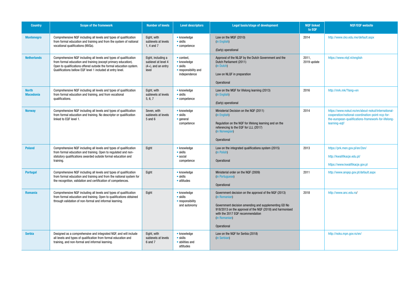| <b>Country</b>                   | <b>Scope of the framework</b>                                                                                                                                                                                                                                            | <b>Number of levels</b>                                                     | <b>Level descriptors</b>                                                                      | <b>Legal basis/stage of development</b>                                                                                                                                                                                                                                | <b>NOF linked</b><br>to EQF | <b>NQF/EQF website</b>                                                                                                                                                         |
|----------------------------------|--------------------------------------------------------------------------------------------------------------------------------------------------------------------------------------------------------------------------------------------------------------------------|-----------------------------------------------------------------------------|-----------------------------------------------------------------------------------------------|------------------------------------------------------------------------------------------------------------------------------------------------------------------------------------------------------------------------------------------------------------------------|-----------------------------|--------------------------------------------------------------------------------------------------------------------------------------------------------------------------------|
| <b>Montenegro</b>                | Comprehensive NQF including all levels and types of qualification<br>from formal education and training and from the system of national<br>vocational qualifications (NVQs).                                                                                             | Eight, with<br>sublevels at levels<br>1, 4 and $7$                          | • knowledge<br>$\bullet$ skills<br>$\bullet$ competence                                       | Law on the MQF (2010)<br>(in English)<br>(Early) operational                                                                                                                                                                                                           | 2014                        | http://www.cko.edu.me/default.aspx                                                                                                                                             |
| <b>Netherlands</b>               | Comprehensive NQF including all levels and types of qualification<br>from formal education and training (except primary education).<br>Open to qualifications offered outside the formal education system.<br>Qualifications bellow EQF level 1 included at entry level. | Eight, including a<br>sublevel at level 4<br>$(4+)$ , and an entry<br>level | $\bullet$ context.<br>• knowledge<br>$\bullet$ skills<br>• responsibility and<br>independence | Approval of the NLQF by the Dutch Government and the<br>Dutch Parliament (2011)<br>(in Dutch)<br>Law on NLQF in preparation<br><b>Operational</b>                                                                                                                      | 2011,<br>2019 update        | https://www.nlqf.nl/english                                                                                                                                                    |
| <b>North</b><br><b>Macedonia</b> | Comprehensive NQF including all levels and types of qualification<br>from formal education and training, and from vocational<br>qualifications.                                                                                                                          | Eight, with<br>sublevels at levels<br>5, 6, 7                               | • knowledge<br>$\bullet$ skills<br>$\bullet$ competence                                       | Law on the MQF for lifelong learning (2013)<br>(in English)<br>(Early) operational                                                                                                                                                                                     | 2016                        | http://mrk.mk/?lang=en                                                                                                                                                         |
| <b>Norway</b>                    | Comprehensive NQF including all levels and types of qualification<br>from formal education and training. No descriptor or qualification<br>linked to EQF level 1.                                                                                                        | Seven, with<br>sublevels at levels<br>5 and 6                               | • knowledge<br>$\bullet$ skills<br>• general<br>competence                                    | Ministerial Decision on the NQF (2011)<br>(in English)<br>Regulation on the NQF for lifelong learning and on the<br>referencing to the EQF for LLL (2017)<br>(in Norwegian)<br>Operational                                                                             | 2014                        | https://www.nokut.no/en/about-nokut/international-<br>cooperation/national-coordination-point-ncp-for-<br>the-european-qualifications-framework-for-lifelong-<br>learning-eqf/ |
| <b>Poland</b>                    | Comprehensive NQF including all levels and types of qualification<br>from formal education and training. Open to regulated and non-<br>statutory qualifications awarded outside formal education and<br>training.                                                        | Eight                                                                       | • knowledge<br>$\bullet$ skills<br>• social<br>competence                                     | Law on the integrated qualifications system (2015)<br>(in Polish)<br>Operational                                                                                                                                                                                       | 2013                        | https://prk.men.gov.pl/en/2en/<br>http://kwalifikacje.edu.pl/<br>https://www.kwalifikacje.gov.pl                                                                               |
| <b>Portugal</b>                  | Comprehensive NQF including all levels and types of qualification<br>from formal education and training and from the national system for<br>the recognition, validation and certification of competences.                                                                | Eight                                                                       | • knowledge<br>$\bullet$ skills<br>• attitudes                                                | Ministerial order on the NQF (2009)<br>(in Portuguese)<br>Operational                                                                                                                                                                                                  | 2011                        | http://www.anqep.gov.pt/default.aspx                                                                                                                                           |
| Romania                          | Comprehensive NQF including all levels and types of qualification<br>from formal education and training. Open to qualifications obtained<br>through validation of non-formal and informal learning.                                                                      | Eight                                                                       | • knowledge<br>$\bullet$ skills<br>• responsibility<br>and autonomy                           | Government decision on the approval of the NQF (2013)<br>(in Romanian)<br>Government decision amending and supplementing GD No<br>918/2013 on the approval of the NQF (2018) and harmonised<br>with the 2017 EQF recommendation<br>(in Romanian)<br><b>Operational</b> | 2018                        | http://www.anc.edu.ro/                                                                                                                                                         |
| <b>Serbia</b>                    | Designed as a comprehensive and integrated NQF, and will include<br>all levels and types of qualification from formal education and<br>training, and non-formal and informal learning.                                                                                   | Eight, with<br>sublevels at levels<br>6 and 7                               | • knowledge<br>• skills<br>• abilities and<br>attitudes                                       | Law on the NQF for Serbia (2018)<br>(in Serbian)                                                                                                                                                                                                                       |                             | http://noks.mpn.gov.rs/en/                                                                                                                                                     |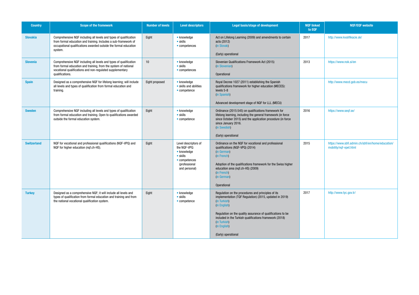| <b>Country</b>     | <b>Scope of the framework</b>                                                                                                                                                                                        | <b>Number of levels</b> | <b>Level descriptors</b>                                                                                           | <b>Legal basis/stage of development</b>                                                                                                                                                                                                                                                                 | <b>NQF linked</b><br>to EQF | <b>NQF/EQF website</b>                                                      |
|--------------------|----------------------------------------------------------------------------------------------------------------------------------------------------------------------------------------------------------------------|-------------------------|--------------------------------------------------------------------------------------------------------------------|---------------------------------------------------------------------------------------------------------------------------------------------------------------------------------------------------------------------------------------------------------------------------------------------------------|-----------------------------|-----------------------------------------------------------------------------|
| <b>Slovakia</b>    | Comprehensive NQF including all levels and types of qualification<br>from formal education and training. Includes a sub-framework of<br>occupational qualifications awarded outside the formal education<br>system.  | Eight                   | • knowledge<br>• skills<br>• competences                                                                           | Act on Lifelong Learning (2009) and amendments to certain<br>acts (2012)<br>(in Slovak)                                                                                                                                                                                                                 | 2017                        | http://www.kvalifikacie.sk/                                                 |
|                    |                                                                                                                                                                                                                      |                         |                                                                                                                    | (Early) operational                                                                                                                                                                                                                                                                                     |                             |                                                                             |
| <b>Slovenia</b>    | Comprehensive NQF including all levels and types of qualification<br>from formal education and training, from the system of national<br>vocational qualifications and non-regulated supplementary<br>qualifications. | 10                      | • knowledge<br>$\bullet$ skills<br>• competences                                                                   | Slovenian Qualifications Framework Act (2015)<br>(in Slovenian)<br>Operational                                                                                                                                                                                                                          | 2013                        | https://www.nok.si/en                                                       |
| <b>Spain</b>       | Designed as a comprehensive NQF for lifelong learning; will include<br>all levels and types of qualification from formal education and<br>training.                                                                  | Eight proposed          | • knowledge<br>• skills and abilities<br>$\bullet$ competence                                                      | Royal Decree 1027 (2011) establishing the Spanish<br>qualifications framework for higher education (MECES):<br>levels 5-8<br>(in Spanish)<br>Advanced development stage of NQF for LLL (MECU)                                                                                                           |                             | http://www.mecd.gob.es/mecu                                                 |
|                    |                                                                                                                                                                                                                      |                         |                                                                                                                    |                                                                                                                                                                                                                                                                                                         |                             |                                                                             |
| <b>Sweden</b>      | Comprehensive NQF including all levels and types of qualification<br>from formal education and training. Open to qualifications awarded<br>outside the formal education system.                                      | Eight                   | • knowledge<br>$\bullet$ skills<br>• competence                                                                    | Ordinance (2015:545) on qualifications framework for<br>lifelong learning, including the general framework (in force<br>since October 2015) and the application procedure (in force<br>since January 2016.<br>(in Swedish)<br>(Early) operational                                                       | 2016                        | https://www.seqf.se/                                                        |
| <b>Switzerland</b> | NQF for vocational and professional qualifications (NQF-VPQ) and<br>NQF for higher education (nqf.ch-HS).                                                                                                            | Eight                   | Level descriptors of<br>the NQF-VPQ:<br>• knowledge<br>• skills<br>• competences<br>(professional<br>and personal) | Ordinance on the NQF for vocational and professional<br>qualifications (NQF-VPQ) (2014)<br>(in German)<br>(in French)<br>Adoption of the qualifications framework for the Swiss higher<br>education area (nqf.ch-HS) (2009)<br>(in French)<br>(in German)<br>Operational                                | 2015                        | https://www.sbfi.admin.ch/sbfi/en/home/education/<br>mobility/nqf-vpet.html |
| <b>Turkey</b>      | Designed as a comprehensive NQF; it will include all levels and<br>types of qualification from formal education and training and from<br>the national vocational qualification system.                               | Eight                   | • knowledge<br>$\bullet$ skills<br>$\bullet$ competence                                                            | Regulation on the procedures and principles of its<br>implementation (TQF Regulation) (2015, updated in 2019)<br>(in Turkish)<br>(in English)<br>Regulation on the quality assurance of qualifications to be<br>included in the Turkish qualifications framework (2018)<br>(in Turkish)<br>(in English) | 2017                        | http://www.tyc.gov.tr/                                                      |
|                    |                                                                                                                                                                                                                      |                         |                                                                                                                    | (Early) operational                                                                                                                                                                                                                                                                                     |                             |                                                                             |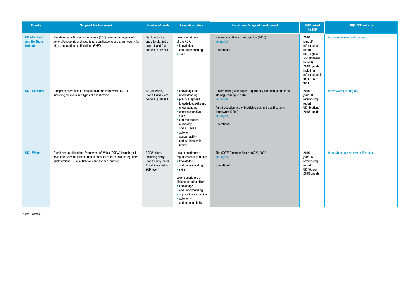| <b>Country</b>                                      | Scope of the framework                                                                                                                                                                                     | <b>Number of levels</b>                                                                     | <b>Level descriptors</b>                                                                                                                                                                                                                                           | Legal basis/stage of development                                                                                                                                                                                      | <b>NQF linked</b><br>to EQF                                                                                                                                    | <b>NQF/EQF website</b>                |
|-----------------------------------------------------|------------------------------------------------------------------------------------------------------------------------------------------------------------------------------------------------------------|---------------------------------------------------------------------------------------------|--------------------------------------------------------------------------------------------------------------------------------------------------------------------------------------------------------------------------------------------------------------------|-----------------------------------------------------------------------------------------------------------------------------------------------------------------------------------------------------------------------|----------------------------------------------------------------------------------------------------------------------------------------------------------------|---------------------------------------|
| <b>UK-England</b><br>and Northern<br><b>Ireland</b> | Regulated qualifications framework (RQF) covering all regulated<br>general/academic and vocational qualifications and a framework for<br>higher education qualifications (FHEQ).                           | Eight, including<br>entry levels. Entry<br>levels 1 and 2 are<br>below EQF level 1          | Level descriptors<br>of the RQF:<br>• knowledge<br>and understanding<br>$\bullet$ skills                                                                                                                                                                           | General conditions of recognition (2018)<br>(in English)<br>Operational                                                                                                                                               | 2010<br>joint UK<br>referencing<br>report;<br>UK (England<br>and Northern<br>Ireland)<br>2019 update,<br>including<br>referencing of<br>the FHEQ to<br>the EQF | https://register.ofqual.gov.uk/       |
| <b>UK-Scotland</b>                                  | Comprehensive credit and qualifications framework (SCQF)<br>including all levels and types of qualification.                                                                                               | 12, of which,<br>levels 1 and 2 are<br>below EQF level 1                                    | • knowledge and<br>understanding<br>• practice: applied<br>knowledge, skills and<br>understanding<br>• generic cognitive<br>skills<br>• communication<br>numeracy<br>and ICT skills<br>• autonomy,<br>accountability<br>and working with<br>others                 | Government green paper 'Opportunity Scotland: a paper on<br>lifelong learning' (1998)<br>(in English)<br>An introduction to the Scottish credit and qualifications<br>framework (2001)<br>(in English)<br>Operational | 2010<br>joint UK<br>referencing<br>report;<br>UK (Scotland)<br>2018 update                                                                                     | http://www.scqf.org.uk/               |
| UK - Wales                                          | Credit and qualifications framework of Wales (CQFW) including all<br>level and types of qualification. It consists of three pillars: regulated<br>qualifications, HE qualifications and lifelong learning. | CQFW: eight,<br>including entry<br>levels. Entry levels<br>1 and 2 are below<br>EQF level 1 | Level descriptors of<br>regulated qualifications:<br>• knowledge<br>and understanding<br>$\bullet$ skills<br>Level descriptors of<br>lifelong learning pillar:<br>• knowledge<br>and understanding<br>• application and action<br>• autonomy<br>and accountability | The CQFW Common Accord (CCA), 2002<br>(in English)<br>Operational                                                                                                                                                     | 2010<br>joint UK<br>referencing<br>report;<br>UK (Wales)<br>2019 update                                                                                        | https://beta.gov.wales/qualifications |

*Source:* Cedefop.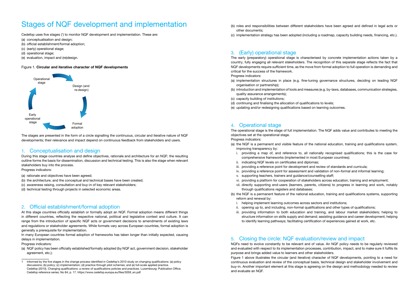## Stages of NQF development and implementation

Cedefop uses five stages (') to monitor NQF development and implementation. These are:

- (a) conceptualisation and design:
- (b) official establishment/formal adoption;
- (c) (early) operational stage;
- (d) operational stage;
- (e) evaluation, impact and (re)design.

#### Figure 1. Circular and iterative character of NQF developments



The stages are presented in the form of a circle signalling the continuous, circular and iterative nature of NQF developments; their relevance and impact depend on continuous feedback from stakeholders and users.

#### 1. Conceptualisation and design

During this stage countries analyse and define objectives, rationale and architecture for an NQF; the resulting outline forms the basis for dissemination, discussion and technical testing. This is also the stage when relevant stakeholders buy into the process.

Progress indicators:

- (a) rationale and objectives have been agreed;
- (b) the architecture, and the conceptual and technical bases have been created;
- (c) awareness raising, consultation and buy-in of key relevant stakeholders;
- (d) technical testing through projects in selected economic areas.

#### 2. Official establishment/formal adoption

At this stage countries officially establish or formally adopt an NQF. Formal adoption means different things in different countries, reflecting the respective national, political and legislative context and culture. It can range from the introduction of specific NQF acts or government decisions to amendments of existing laws and regulations or stakeholder agreements. While formats vary across European countries, formal adoption is generally a prerequisite for implementation.

In many European countries formal adoption of frameworks has taken longer than initially expected, causing delays in implementation.

Progress indicators:

(a) NQF policy has been officially established/formally adopted (by NQF act, government decision, stakeholder agreement, etc.);

- (b) roles and responsibilities between different stakeholders have been agreed and defined in legal acts or other documents;
- (c) implementation strategy has been adopted (including a roadmap, capacity building needs, financing, etc.).

### 3. (Early) operational stage

The early (preparatory) operational stage is characterised by concrete implementation actions taken by a country, fully engaging all relevant stakeholders. The recognition of this separate stage reflects the fact that NQF developments require sufficient time, as the move from formal adoption to full operation is demanding and critical for the success of the framework.

Progress indicators:

- (a) implementation structures in place (e.g. fine-tuning governance structures, deciding on leading NQF organisation or partnership);
- (b) introduction and implementation of tools and measures (e.g. by-laws, databases, communication strategies, quality assurance arrangements);
- (c) capacity building of institutions;
- (d) continuing and finalising the allocation of qualifications to levels;
- (e) updating and/or redesigning qualifications based on learning outcomes.

#### 4. Operational stage

The operational stage is the stage of full implementation. The NQF adds value and contributes to meeting the objectives set at the operational stage.

Progress indicators:

- (a) the NQF is a permanent and visible feature of the national education, training and qualifications system, improving transparency by:
	- i. providing a map of, and reference to, all nationally recognised qualifications; this is the case for comprehensive frameworks (implemented in most European countries);
	- ii. indicating NQF levels on certificates and diplomas;
	- iii. providing a reference point for development and review of standards and curricula;
	- iv. providing a reference point for assessment and validation of non-formal and informal learning;
	- v. supporting teachers, trainers and guidance/counselling staff;
	- vi. providing a platform for cooperation of stakeholders across education, training and employment;
	- vii. directly supporting end-users (learners, parents, citizens) to progress in learning and work, notably through qualifications registers and databases;
- (b) the NQF is a permanent feature of the national education, training and qualifications systems, supporting reform and renewal by:
	- i. helping implement learning outcomes across sectors and institutions;
	- ii. opening up to, and including, non-formal qualifications and other types of qualifications;
	- iii. providing information to both education and training, and labour market stakeholders; helping to structure information on skills supply and demand; assisting guidance and career development; helping to identify learning pathways; facilitating certification of experiences gained at work, etc.

#### 5. Closing the circle: NQF evaluation/review and impact

NQFs need to evolve constantly to be relevant and of value. An NQF policy needs to be regularly reviewed and evaluated with respect to its implementation processes, contribution, impact, and to make sure it fulfils its purpose and brings added value to learners and other stakeholders.

Figure 1 above illustrates the circular (and iterative) character of NQF developments, pointing to a need for continuous evaluation and review of the conceptual basis, technical design and stakeholder involvement and buy-in. Another important element at this stage is agreeing on the design and methodology needed to review and evaluate an NQF.

<sup>1</sup> Informed by the five stages in the change process identified in Cedefop's 2010 study on changing qualifications: (a) policy discussions; (b) policy; (c) implementation; (d) practice through pilot schemes; and (e) full-scale applied practice. Cedefop (2010). Changing qualifications: a review of qualifications policies and practices. Luxembourg: Publication Office. Cedefop reference series; No 84; p. 17. https://www.cedefop.europa.eu/files/3059\_en.pdf